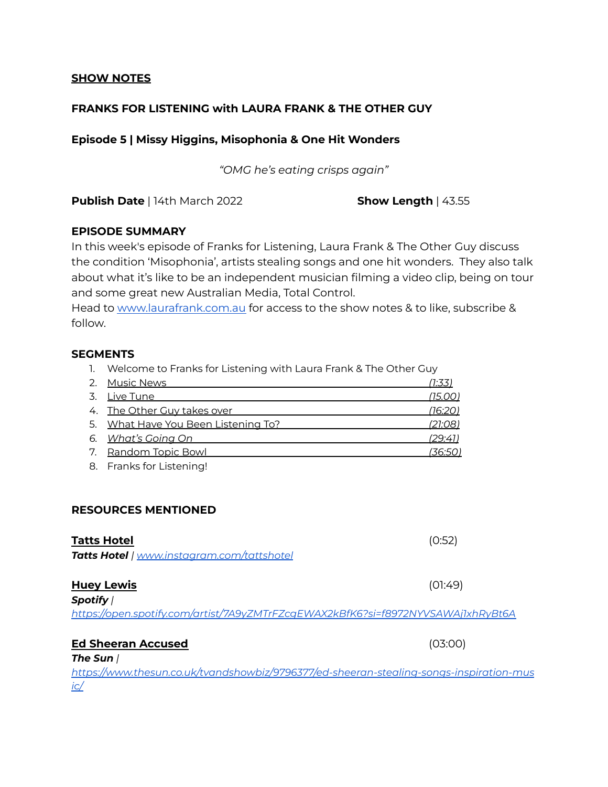### **SHOW NOTES**

# **FRANKS FOR LISTENING with LAURA FRANK & THE OTHER GUY**

### **Episode 5 | Missy Higgins, Misophonia & One Hit Wonders**

*"OMG he's eating crisps again"*

**Publish Date** | 14th March 2022 **Show Length** | 43.55

## **EPISODE SUMMARY**

In this week's episode of Franks for Listening, Laura Frank & The Other Guy discuss the condition 'Misophonia', artists stealing songs and one hit wonders. They also talk about what it's like to be an independent musician filming a video clip, being on tour and some great new Australian Media, Total Control.

Head to [www.laurafrank.com.au](http://www.laurafrank.com.au) for access to the show notes & to like, subscribe & follow.

### **SEGMENTS**

1. Welcome to Franks for Listening with Laura Frank & The Other Guy

| 2. Music News                       | <u>ו 33 י</u>  |
|-------------------------------------|----------------|
| 3. Live Tune                        | <u>(15.00)</u> |
| 4. The Other Guy takes over         | (16:20)        |
| 5. What Have You Been Listening To? | <u>(21:08)</u> |
| 6. What's Going On                  | (29:41)        |
| 7. Random Topic Bowl                | (36:50         |
|                                     |                |

8. Franks for Listening!

### **RESOURCES MENTIONED**

| <b>Tatts Hotel</b>                                                                      | (0:52)  |
|-----------------------------------------------------------------------------------------|---------|
| <b>Tatts Hotel</b>   www.instagram.com/tattshotel                                       |         |
| <b>Huey Lewis</b>                                                                       | (01:49) |
| Spotify /                                                                               |         |
| https://open.spotify.com/artist/7A9yZMTrFZcqEWAX2kBfK6?si=f8972NYVSAWAj1xhRyBt6A        |         |
| <b>Ed Sheeran Accused</b>                                                               | (03:00) |
| The Sun $/$                                                                             |         |
| https://www.thesun.co.uk/tvandshowbiz/9796377/ed-sheeran-stealing-songs-inspiration-mus |         |
| iC/                                                                                     |         |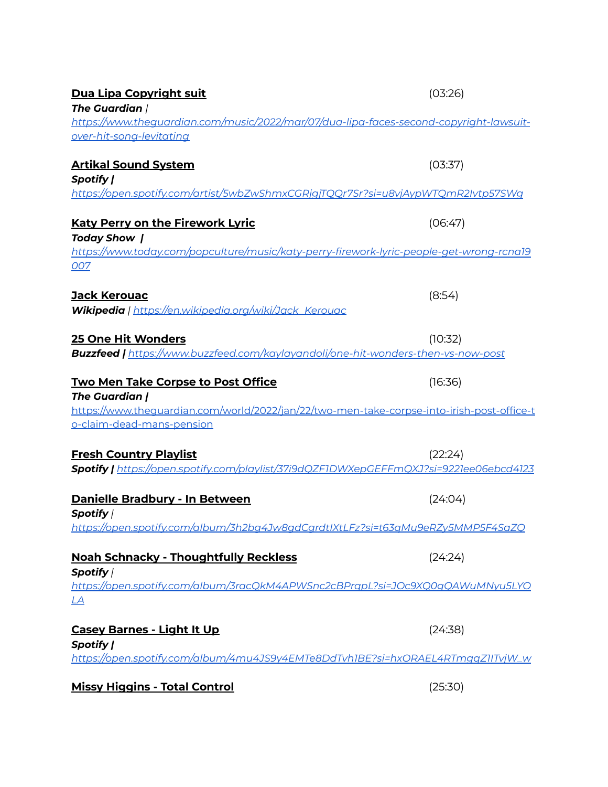| <b>Dua Lipa Copyright suit</b><br>The Guardian /                                                                                                                                                                                           | (03:26) |
|--------------------------------------------------------------------------------------------------------------------------------------------------------------------------------------------------------------------------------------------|---------|
| https://www.thequardian.com/music/2022/mar/07/dua-lipa-faces-second-copyright-lawsuit-<br>over-hit-song-levitating                                                                                                                         |         |
| <b>Artikal Sound System</b><br>Spotify                                                                                                                                                                                                     | (03:37) |
| https://open.spotify.com/artist/5wbZwShmxCGRjgjTQQr7Sr?si=u8vjAypWTQmR2Ivtp57SWg                                                                                                                                                           |         |
| <b>Katy Perry on the Firework Lyric</b><br><b>Today Show  </b><br>https://www.today.com/popculture/music/katy-perry-firework-lyric-people-get-wrong-rcna19                                                                                 | (06:47) |
| 007<br><b>Jack Kerouac</b><br>Wikipedia   https://en.wikipedia.org/wiki/Jack_Kerouac                                                                                                                                                       | (8:54)  |
| <b>25 One Hit Wonders</b><br><b>Buzzfeed  </b> https://www.buzzfeed.com/kaylayandoli/one-hit-wonders-then-vs-now-post                                                                                                                      | (10:32) |
| <b>Two Men Take Corpse to Post Office</b><br><b>The Guardian /</b><br>https://www.thequardian.com/world/2022/jan/22/two-men-take-corpse-into-irish-post-office-t<br>o-claim-dead-mans-pension                                              | (16:36) |
| <b>Fresh Country Playlist</b><br>Spotify   https://open.spotify.com/playlist/37i9dQZF1DWXepGEFFmQXJ?si=9221ee06ebcd4123                                                                                                                    | (22:24) |
| Danielle Bradbury - In Between<br>Spotify /                                                                                                                                                                                                | (24:04) |
| https://open.spotify.com/album/3h2bq4Jw8gdCgrdtIXtLFz?si=t63gMu9eRZy5MMP5F4SaZQ<br><b>Noah Schnacky - Thoughtfully Reckless</b><br>Spotify /<br>https://open.spotify.com/album/3racQkM4APWSnc2cBPrapL?si=JOc9XQ0qQAWuMNyu5LYO<br><u>LA</u> | (24:24) |
| <b>Casey Barnes - Light It Up</b><br><b>Spotify  </b><br>https://open.spotify.com/album/4mu4JS9y4EMTe8DdTvh1BE?si=hxORAEL4RTmgqZ1ITvjW_w                                                                                                   | (24:38) |
| <b>Missy Higgins - Total Control</b>                                                                                                                                                                                                       | (25:30) |